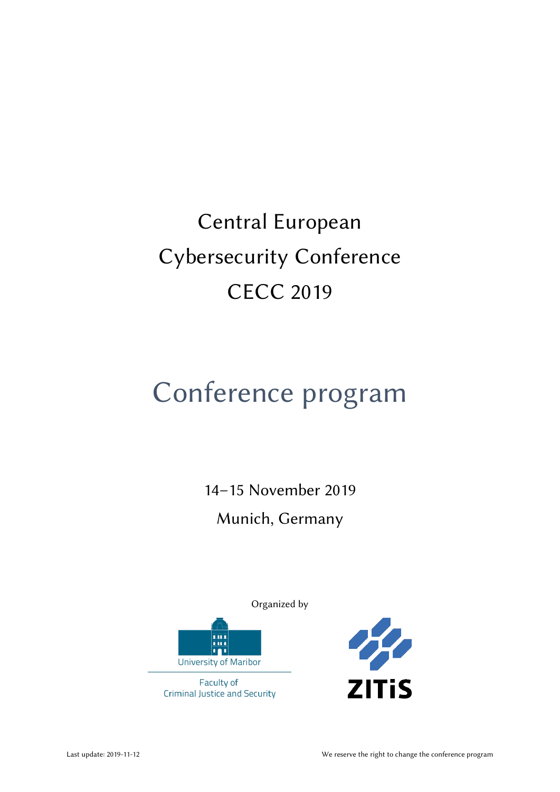# Central European Cybersecurity Conference CECC 2019

# Conference program

14–15 November 2019 Munich, Germany

Organized by



Faculty of **Criminal Justice and Security** 

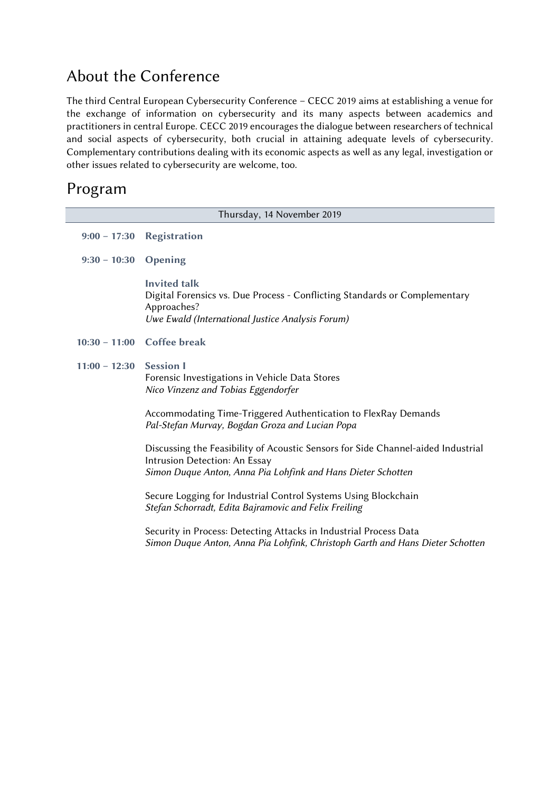# About the Conference

The third Central European Cybersecurity Conference – CECC 2019 aims at establishing a venue for the exchange of information on cybersecurity and its many aspects between academics and practitioners in central Europe. CECC 2019 encourages the dialogue between researchers of technical and social aspects of cybersecurity, both crucial in attaining adequate levels of cybersecurity. Complementary contributions dealing with its economic aspects as well as any legal, investigation or other issues related to cybersecurity are welcome, too.

# Program

| Thursday, 14 November 2019 |                                                                                                                                                                                   |
|----------------------------|-----------------------------------------------------------------------------------------------------------------------------------------------------------------------------------|
| $9:00 - 17:30$             | <b>Registration</b>                                                                                                                                                               |
| $9:30 - 10:30$             | Opening                                                                                                                                                                           |
|                            | <b>Invited talk</b><br>Digital Forensics vs. Due Process - Conflicting Standards or Complementary<br>Approaches?<br>Uwe Ewald (International Justice Analysis Forum)              |
|                            | 10:30 - 11:00 Coffee break                                                                                                                                                        |
| $11:00 - 12:30$            | <b>Session I</b><br>Forensic Investigations in Vehicle Data Stores<br>Nico Vinzenz and Tobias Eggendorfer                                                                         |
|                            | Accommodating Time-Triggered Authentication to FlexRay Demands<br>Pal-Stefan Murvay, Bogdan Groza and Lucian Popa                                                                 |
|                            | Discussing the Feasibility of Acoustic Sensors for Side Channel-aided Industrial<br>Intrusion Detection: An Essay<br>Simon Duque Anton, Anna Pia Lohfink and Hans Dieter Schotten |
|                            | Secure Logging for Industrial Control Systems Using Blockchain<br>Stefan Schorradt, Edita Bajramovic and Felix Freiling                                                           |
|                            | Security in Process: Detecting Attacks in Industrial Process Data<br>Simon Duque Anton, Anna Pia Lohfink, Christoph Garth and Hans Dieter Schotten                                |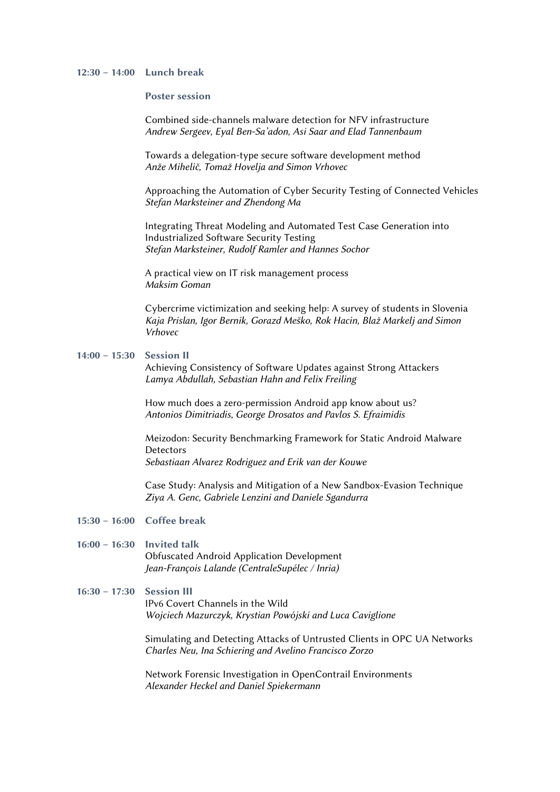#### 12:30 – 14:00 Lunch break

Poster session

Combined side-channels malware detection for NFV infrastructure *Andrew Sergeev, Eyal Ben-Sa'adon, Asi Saar and Elad Tannenbaum*

Towards a delegation-type secure software development method *Anže Mihelič, Tomaž Hovelja and Simon Vrhovec*

Approaching the Automation of Cyber Security Testing of Connected Vehicles *Stefan Marksteiner and Zhendong Ma*

Integrating Threat Modeling and Automated Test Case Generation into Industrialized Software Security Testing *Stefan Marksteiner, Rudolf Ramler and Hannes Sochor*

A practical view on IT risk management process *Maksim Goman*

Cybercrime victimization and seeking help: A survey of students in Slovenia *Kaja Prislan, Igor Bernik, Gorazd Meško, Rok Hacin, Blaž Markelj and Simon Vrhovec*

#### 14:00 – 15:30 Session II

Achieving Consistency of Software Updates against Strong Attackers *Lamya Abdullah, Sebastian Hahn and Felix Freiling*

How much does a zero-permission Android app know about us? *Antonios Dimitriadis, George Drosatos and Pavlos S. Efraimidis*

Meizodon: Security Benchmarking Framework for Static Android Malware **Detectors** *Sebastiaan Alvarez Rodriguez and Erik van der Kouwe*

Case Study: Analysis and Mitigation of a New Sandbox-Evasion Technique *Ziya A. Genc, Gabriele Lenzini and Daniele Sgandurra*

- 15:30 16:00 Coffee break
- 16:00 16:30 Invited talk Obfuscated Android Application Development *Jean-François Lalande (CentraleSupélec / Inria)*
- 16:30 17:30 Session III IPv6 Covert Channels in the Wild *Wojciech Mazurczyk, Krystian Powójski and Luca Caviglione*

Simulating and Detecting Attacks of Untrusted Clients in OPC UA Networks *Charles Neu, Ina Schiering and Avelino Francisco Zorzo*

Network Forensic Investigation in OpenContrail Environments *Alexander Heckel and Daniel Spiekermann*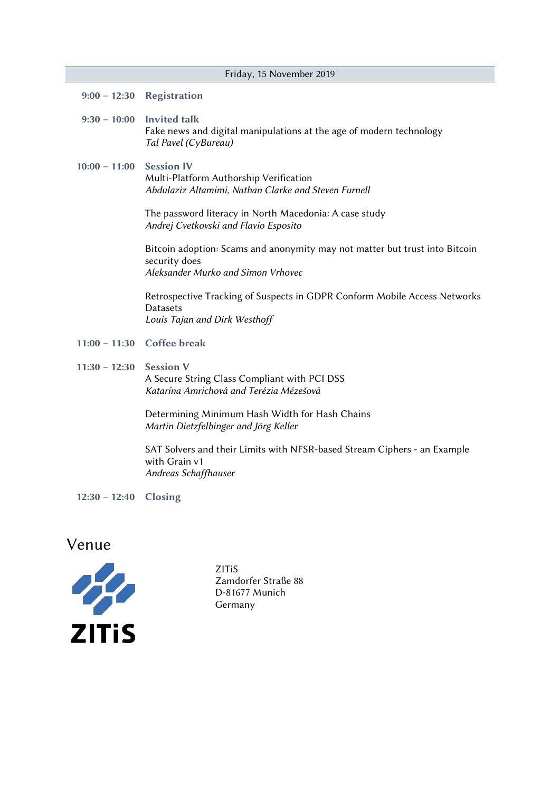| Friday, 15 November 2019 |                                                                                                                                    |
|--------------------------|------------------------------------------------------------------------------------------------------------------------------------|
| $9:00 - 12:30$           | <b>Registration</b>                                                                                                                |
| $9:30 - 10:00$           | <b>Invited talk</b><br>Fake news and digital manipulations at the age of modern technology<br>Tal Pavel (CyBureau)                 |
| $10:00 - 11:00$          | <b>Session IV</b><br>Multi-Platform Authorship Verification<br>Abdulaziz Altamimi, Nathan Clarke and Steven Furnell                |
|                          | The password literacy in North Macedonia: A case study<br>Andrej Cvetkovski and Flavio Esposito                                    |
|                          | Bitcoin adoption: Scams and anonymity may not matter but trust into Bitcoin<br>security does<br>Aleksander Murko and Simon Vrhovec |
|                          | Retrospective Tracking of Suspects in GDPR Conform Mobile Access Networks<br>Datasets<br>Louis Tajan and Dirk Westhoff             |
| $11:00 - 11:30$          | <b>Coffee break</b>                                                                                                                |
| $11:30 - 12:30$          | <b>Session V</b><br>A Secure String Class Compliant with PCI DSS<br>Katarína Amrichová and Terézia Mézešová                        |
|                          | Determining Minimum Hash Width for Hash Chains<br>Martin Dietzfelbinger and Jörg Keller                                            |
|                          | SAT Solvers and their Limits with NFSR-based Stream Ciphers - an Example<br>with Grain v1<br>Andreas Schaffhauser                  |
| $12:30 - 12:40$          | <b>Closing</b>                                                                                                                     |
| $\frac{1}{2}$            |                                                                                                                                    |



ZITiS Zamdorfer Straße 88 D-81677 Munich Germany